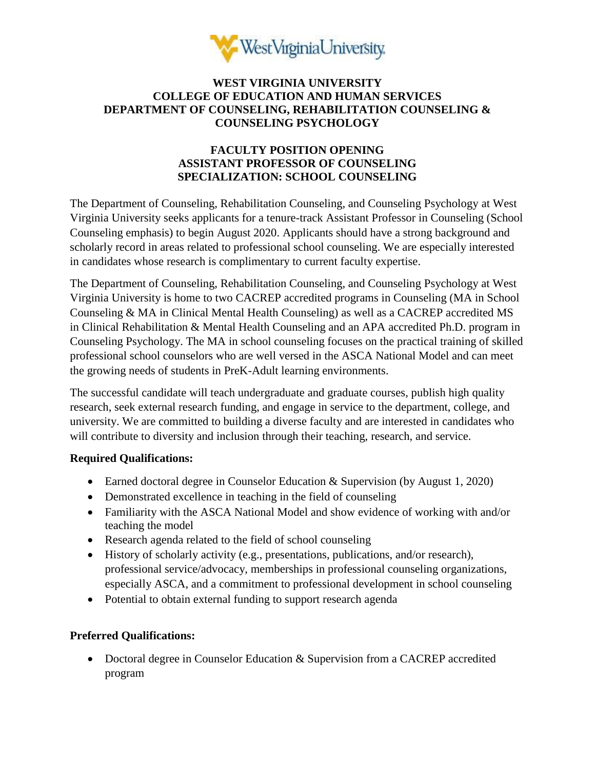

### **WEST VIRGINIA UNIVERSITY COLLEGE OF EDUCATION AND HUMAN SERVICES DEPARTMENT OF COUNSELING, REHABILITATION COUNSELING & COUNSELING PSYCHOLOGY**

# **FACULTY POSITION OPENING ASSISTANT PROFESSOR OF COUNSELING SPECIALIZATION: SCHOOL COUNSELING**

The Department of Counseling, Rehabilitation Counseling, and Counseling Psychology at West Virginia University seeks applicants for a tenure-track Assistant Professor in Counseling (School Counseling emphasis) to begin August 2020. Applicants should have a strong background and scholarly record in areas related to professional school counseling. We are especially interested in candidates whose research is complimentary to current faculty expertise.

The Department of Counseling, Rehabilitation Counseling, and Counseling Psychology at West Virginia University is home to two CACREP accredited programs in Counseling (MA in School Counseling & MA in Clinical Mental Health Counseling) as well as a CACREP accredited MS in Clinical Rehabilitation & Mental Health Counseling and an APA accredited Ph.D. program in Counseling Psychology. The MA in school counseling focuses on the practical training of skilled professional school counselors who are well versed in the ASCA National Model and can meet the growing needs of students in PreK-Adult learning environments.

The successful candidate will teach undergraduate and graduate courses, publish high quality research, seek external research funding, and engage in service to the department, college, and university. We are committed to building a diverse faculty and are interested in candidates who will contribute to diversity and inclusion through their teaching, research, and service.

## **Required Qualifications:**

- Earned doctoral degree in Counselor Education & Supervision (by August 1, 2020)
- Demonstrated excellence in teaching in the field of counseling
- Familiarity with the ASCA National Model and show evidence of working with and/or teaching the model
- Research agenda related to the field of school counseling
- History of scholarly activity (e.g., presentations, publications, and/or research), professional service/advocacy, memberships in professional counseling organizations, especially ASCA, and a commitment to professional development in school counseling
- Potential to obtain external funding to support research agenda

## **Preferred Qualifications:**

• Doctoral degree in Counselor Education & Supervision from a CACREP accredited program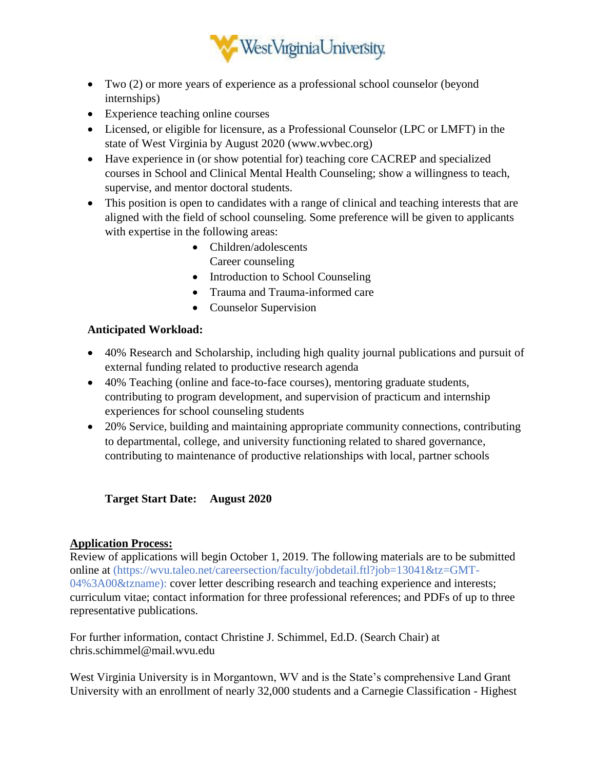

- Two (2) or more years of experience as a professional school counselor (beyond internships)
- Experience teaching online courses
- Licensed, or eligible for licensure, as a Professional Counselor (LPC or LMFT) in the state of West Virginia by August 2020 (www.wvbec.org)
- Have experience in (or show potential for) teaching core CACREP and specialized courses in School and Clinical Mental Health Counseling; show a willingness to teach, supervise, and mentor doctoral students.
- This position is open to candidates with a range of clinical and teaching interests that are aligned with the field of school counseling. Some preference will be given to applicants with expertise in the following areas:
	- Children/adolescents Career counseling
	- Introduction to School Counseling
	- Trauma and Trauma-informed care
	- Counselor Supervision

## **Anticipated Workload:**

- 40% Research and Scholarship, including high quality journal publications and pursuit of external funding related to productive research agenda
- 40% Teaching (online and face-to-face courses), mentoring graduate students, contributing to program development, and supervision of practicum and internship experiences for school counseling students
- 20% Service, building and maintaining appropriate community connections, contributing to departmental, college, and university functioning related to shared governance, contributing to maintenance of productive relationships with local, partner schools

**Target Start Date: August 2020** 

## **Application Process:**

Review of applications will begin October 1, 2019. The following materials are to be submitted online at (https://wvu.taleo.net/careersection/faculty/jobdetail.ftl?job=13041&tz=GMT-04%3A00&tzname): cover letter describing research and teaching experience and interests; curriculum vitae; contact information for three professional references; and PDFs of up to three representative publications.

For further information, contact Christine J. Schimmel, Ed.D. (Search Chair) at chris.schimmel@mail.wvu.edu

West Virginia University is in Morgantown, WV and is the State's comprehensive Land Grant University with an enrollment of nearly 32,000 students and a Carnegie Classification - Highest